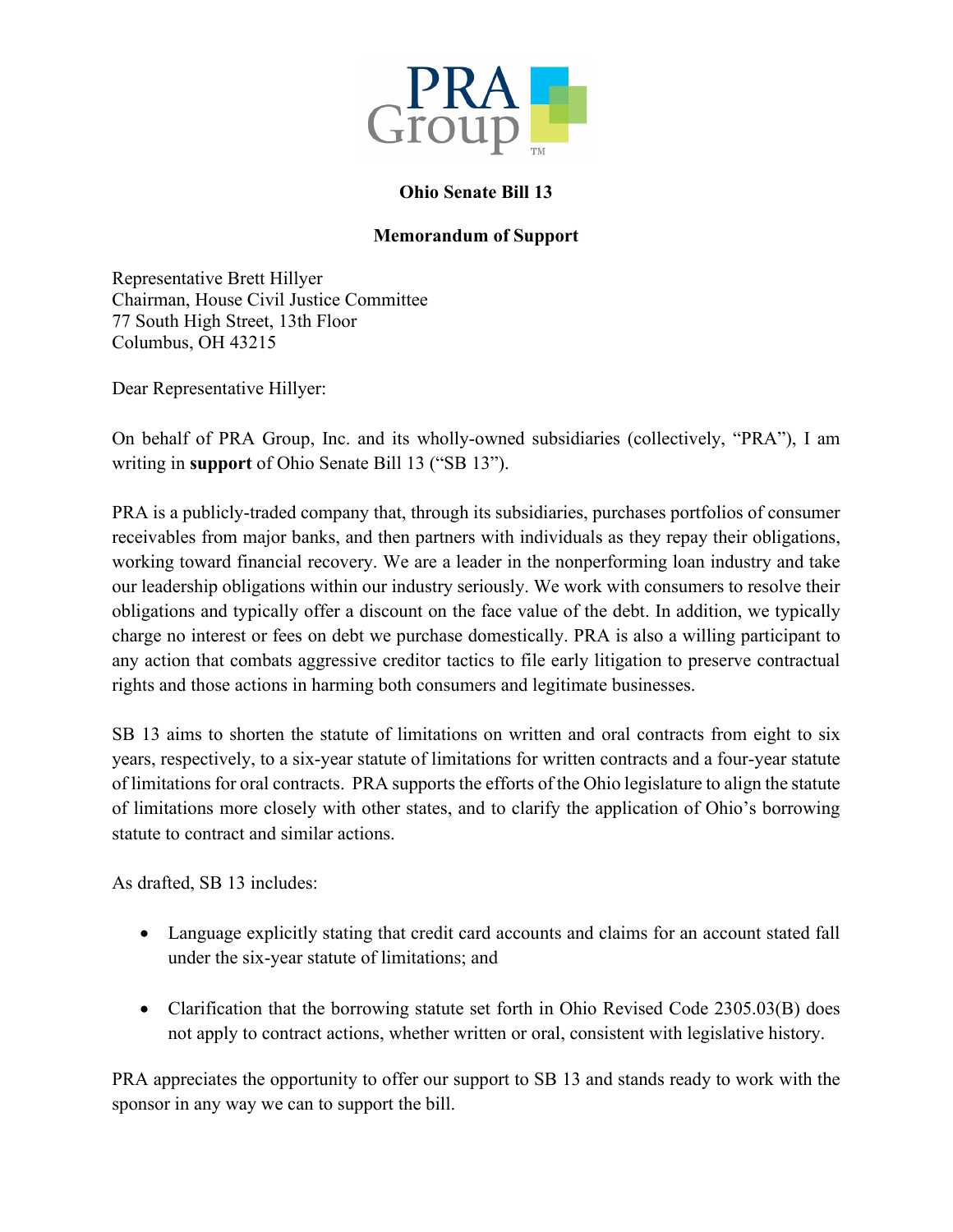

## **Ohio Senate Bill 13**

## **Memorandum of Support**

Representative Brett Hillyer Chairman, House Civil Justice Committee 77 South High Street, 13th Floor Columbus, OH 43215

Dear Representative Hillyer:

On behalf of PRA Group, Inc. and its wholly-owned subsidiaries (collectively, "PRA"), I am writing in **support** of Ohio Senate Bill 13 ("SB 13").

PRA is a publicly-traded company that, through its subsidiaries, purchases portfolios of consumer receivables from major banks, and then partners with individuals as they repay their obligations, working toward financial recovery. We are a leader in the nonperforming loan industry and take our leadership obligations within our industry seriously. We work with consumers to resolve their obligations and typically offer a discount on the face value of the debt. In addition, we typically charge no interest or fees on debt we purchase domestically. PRA is also a willing participant to any action that combats aggressive creditor tactics to file early litigation to preserve contractual rights and those actions in harming both consumers and legitimate businesses.

SB 13 aims to shorten the statute of limitations on written and oral contracts from eight to six years, respectively, to a six-year statute of limitations for written contracts and a four-year statute of limitations for oral contracts. PRA supports the efforts of the Ohio legislature to align the statute of limitations more closely with other states, and to clarify the application of Ohio's borrowing statute to contract and similar actions.

As drafted, SB 13 includes:

- Language explicitly stating that credit card accounts and claims for an account stated fall under the six-year statute of limitations; and
- Clarification that the borrowing statute set forth in Ohio Revised Code 2305.03(B) does not apply to contract actions, whether written or oral, consistent with legislative history.

PRA appreciates the opportunity to offer our support to SB 13 and stands ready to work with the sponsor in any way we can to support the bill.